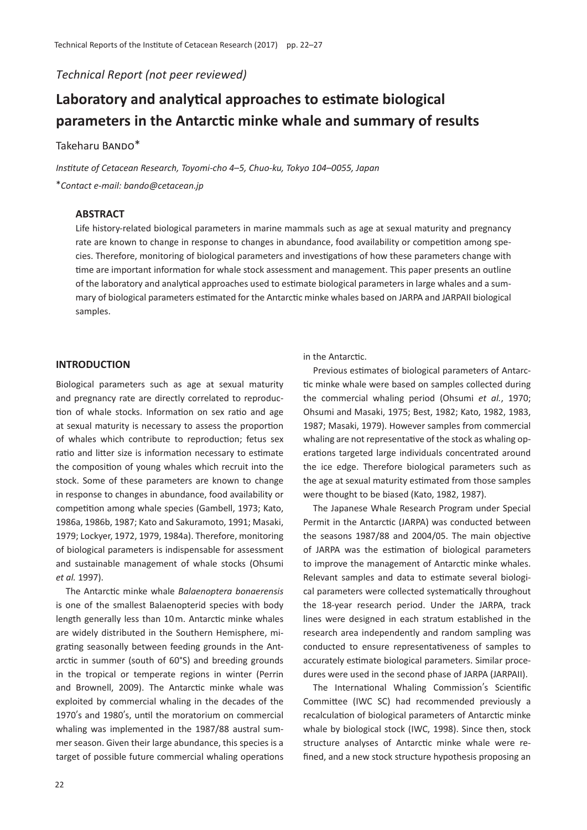*Technical Report (not peer reviewed)*

# **Laboratory and analytical approaches to estimate biological parameters in the Antarctic minke whale and summary of results**

# Takeharu BANDO\*

*Institute of Cetacean Research, Toyomi-cho 4*–*5, Chuo-ku, Tokyo 104*–*0055, Japan* \**Contact e-mail: bando@cetacean.jp*

## **ABSTRACT**

Life history-related biological parameters in marine mammals such as age at sexual maturity and pregnancy rate are known to change in response to changes in abundance, food availability or competition among species. Therefore, monitoring of biological parameters and investigations of how these parameters change with time are important information for whale stock assessment and management. This paper presents an outline of the laboratory and analytical approaches used to estimate biological parameters in large whales and a summary of biological parameters estimated for the Antarctic minke whales based on JARPA and JARPAII biological samples.

# **INTRODUCTION**

Biological parameters such as age at sexual maturity and pregnancy rate are directly correlated to reproduction of whale stocks. Information on sex ratio and age at sexual maturity is necessary to assess the proportion of whales which contribute to reproduction; fetus sex ratio and litter size is information necessary to estimate the composition of young whales which recruit into the stock. Some of these parameters are known to change in response to changes in abundance, food availability or competition among whale species (Gambell, 1973; Kato, 1986a, 1986b, 1987; Kato and Sakuramoto, 1991; Masaki, 1979; Lockyer, 1972, 1979, 1984a). Therefore, monitoring of biological parameters is indispensable for assessment and sustainable management of whale stocks (Ohsumi *et al.* 1997).

The Antarctic minke whale *Balaenoptera bonaerensis* is one of the smallest Balaenopterid species with body length generally less than 10 m. Antarctic minke whales are widely distributed in the Southern Hemisphere, migrating seasonally between feeding grounds in the Antarctic in summer (south of 60°S) and breeding grounds in the tropical or temperate regions in winter (Perrin and Brownell, 2009). The Antarctic minke whale was exploited by commercial whaling in the decades of the 1970's and 1980's, until the moratorium on commercial whaling was implemented in the 1987/88 austral summer season. Given their large abundance, this species is a target of possible future commercial whaling operations in the Antarctic.

Previous estimates of biological parameters of Antarctic minke whale were based on samples collected during the commercial whaling period (Ohsumi *et al.*, 1970; Ohsumi and Masaki, 1975; Best, 1982; Kato, 1982, 1983, 1987; Masaki, 1979). However samples from commercial whaling are not representative of the stock as whaling operations targeted large individuals concentrated around the ice edge. Therefore biological parameters such as the age at sexual maturity estimated from those samples were thought to be biased (Kato, 1982, 1987).

The Japanese Whale Research Program under Special Permit in the Antarctic (JARPA) was conducted between the seasons 1987/88 and 2004/05. The main objective of JARPA was the estimation of biological parameters to improve the management of Antarctic minke whales. Relevant samples and data to estimate several biological parameters were collected systematically throughout the 18-year research period. Under the JARPA, track lines were designed in each stratum established in the research area independently and random sampling was conducted to ensure representativeness of samples to accurately estimate biological parameters. Similar procedures were used in the second phase of JARPA (JARPAII).

The International Whaling Commission's Scientific Committee (IWC SC) had recommended previously a recalculation of biological parameters of Antarctic minke whale by biological stock (IWC, 1998). Since then, stock structure analyses of Antarctic minke whale were refined, and a new stock structure hypothesis proposing an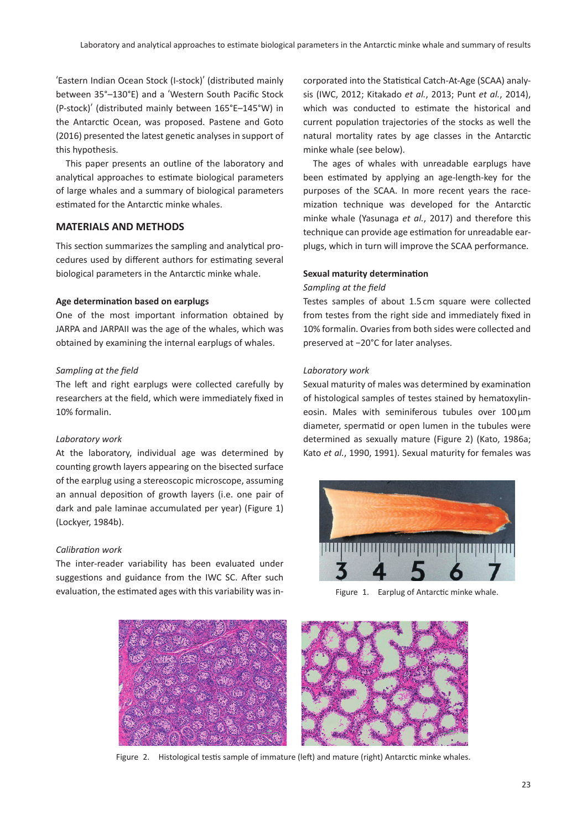ʻEastern Indian Ocean Stock (I-stock)' (distributed mainly between 35°–130°E) and a ʻWestern South Pacific Stock (P-stock)' (distributed mainly between 165°E–145°W) in the Antarctic Ocean, was proposed. Pastene and Goto (2016) presented the latest genetic analyses in support of this hypothesis.

This paper presents an outline of the laboratory and analytical approaches to estimate biological parameters of large whales and a summary of biological parameters estimated for the Antarctic minke whales.

# **MATERIALS AND METHODS**

This section summarizes the sampling and analytical procedures used by different authors for estimating several biological parameters in the Antarctic minke whale.

#### **Age determination based on earplugs**

One of the most important information obtained by JARPA and JARPAII was the age of the whales, which was obtained by examining the internal earplugs of whales.

# *Sampling at the field*

The left and right earplugs were collected carefully by researchers at the field, which were immediately fixed in 10% formalin.

#### *Laboratory work*

At the laboratory, individual age was determined by counting growth layers appearing on the bisected surface of the earplug using a stereoscopic microscope, assuming an annual deposition of growth layers (i.e. one pair of dark and pale laminae accumulated per year) (Figure 1) (Lockyer, 1984b).

#### *Calibration work*

The inter-reader variability has been evaluated under suggestions and guidance from the IWC SC. After such evaluation, the estimated ages with this variability was incorporated into the Statistical Catch-At-Age (SCAA) analysis (IWC, 2012; Kitakado *et al.*, 2013; Punt *et al.*, 2014), which was conducted to estimate the historical and current population trajectories of the stocks as well the natural mortality rates by age classes in the Antarctic minke whale (see below).

The ages of whales with unreadable earplugs have been estimated by applying an age-length-key for the purposes of the SCAA. In more recent years the racemization technique was developed for the Antarctic minke whale (Yasunaga *et al.*, 2017) and therefore this technique can provide age estimation for unreadable earplugs, which in turn will improve the SCAA performance.

## **Sexual maturity determination**

#### *Sampling at the field*

Testes samples of about 1.5 cm square were collected from testes from the right side and immediately fixed in 10% formalin. Ovaries from both sides were collected and preserved at −20°C for later analyses.

#### *Laboratory work*

Sexual maturity of males was determined by examination of histological samples of testes stained by hematoxylineosin. Males with seminiferous tubules over  $100 \,\mu m$ diameter, spermatid or open lumen in the tubules were determined as sexually mature (Figure 2) (Kato, 1986a; Kato *et al.*, 1990, 1991). Sexual maturity for females was



Figure 1. Earplug of Antarctic minke whale.



Figure 2. Histological testis sample of immature (left) and mature (right) Antarctic minke whales.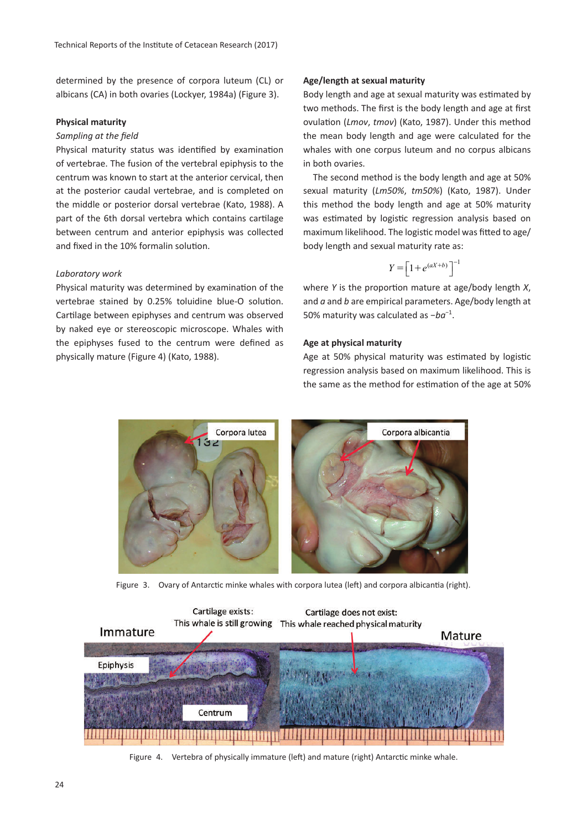determined by the presence of corpora luteum (CL) or albicans (CA) in both ovaries (Lockyer, 1984a) (Figure 3).

#### **Physical maturity**

# *Sampling at the field*

Physical maturity status was identified by examination of vertebrae. The fusion of the vertebral epiphysis to the centrum was known to start at the anterior cervical, then at the posterior caudal vertebrae, and is completed on the middle or posterior dorsal vertebrae (Kato, 1988). A part of the 6th dorsal vertebra which contains cartilage between centrum and anterior epiphysis was collected and fixed in the 10% formalin solution.

## *Laboratory work*

Physical maturity was determined by examination of the vertebrae stained by 0.25% toluidine blue-O solution. Cartilage between epiphyses and centrum was observed by naked eye or stereoscopic microscope. Whales with the epiphyses fused to the centrum were defined as physically mature (Figure 4) (Kato, 1988).

#### **Age/length at sexual maturity**

Body length and age at sexual maturity was estimated by two methods. The first is the body length and age at first ovulation (*Lmov*, *tmov*) (Kato, 1987). Under this method the mean body length and age were calculated for the whales with one corpus luteum and no corpus albicans in both ovaries.

The second method is the body length and age at 50% sexual maturity (*Lm50%*, *tm50%*) (Kato, 1987). Under this method the body length and age at 50% maturity was estimated by logistic regression analysis based on maximum likelihood. The logistic model was fitted to age/ body length and sexual maturity rate as:

$$
Y = \left[1 + e^{(aX + b)}\right]^{-1}
$$

where *Y* is the proportion mature at age/body length *X*, and *a* and *b* are empirical parameters. Age/body length at 50% maturity was calculated as −*ba*−1.

## **Age at physical maturity**

Age at 50% physical maturity was estimated by logistic regression analysis based on maximum likelihood. This is the same as the method for estimation of the age at 50%



Figure 3. Ovary of Antarctic minke whales with corpora lutea (left) and corpora albicantia (right).



Figure 4. Vertebra of physically immature (left) and mature (right) Antarctic minke whale.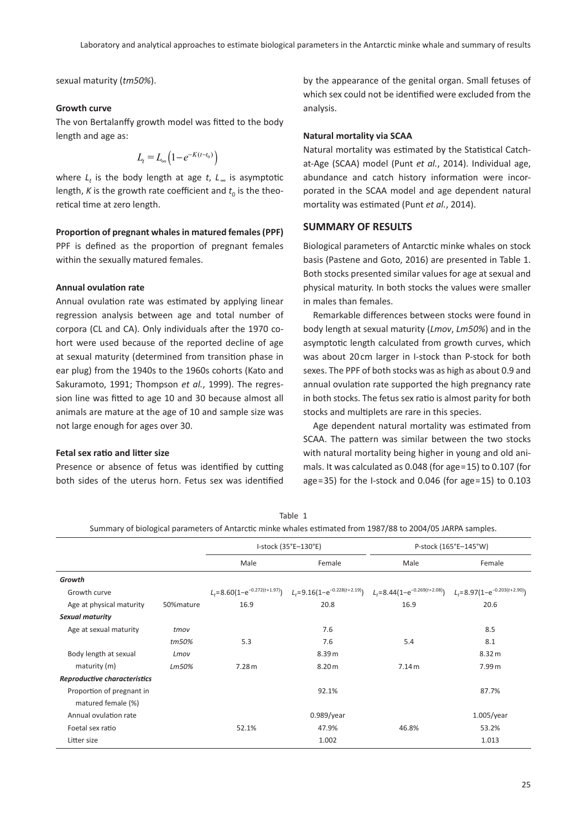sexual maturity (*tm50%*).

#### **Growth curve**

The von Bertalanffy growth model was fitted to the body length and age as:

$$
L_t = L_{\infty} \left( 1 - e^{-K(t - t_0)} \right)
$$

where *L*<sub>t</sub> is the body length at age *t*, *L*<sub>∞</sub> is asymptotic length, *K* is the growth rate coefficient and  $t_0$  is the theoretical time at zero length.

# **Proportion of pregnant whales in matured females (PPF)**

PPF is defined as the proportion of pregnant females within the sexually matured females.

# **Annual ovulation rate**

Annual ovulation rate was estimated by applying linear regression analysis between age and total number of corpora (CL and CA). Only individuals after the 1970 cohort were used because of the reported decline of age at sexual maturity (determined from transition phase in ear plug) from the 1940s to the 1960s cohorts (Kato and Sakuramoto, 1991; Thompson *et al.*, 1999). The regression line was fitted to age 10 and 30 because almost all animals are mature at the age of 10 and sample size was not large enough for ages over 30.

#### **Fetal sex ratio and litter size**

Presence or absence of fetus was identified by cutting both sides of the uterus horn. Fetus sex was identified

by the appearance of the genital organ. Small fetuses of which sex could not be identified were excluded from the analysis.

## **Natural mortality via SCAA**

Natural mortality was estimated by the Statistical Catchat-Age (SCAA) model (Punt *et al.*, 2014). Individual age, abundance and catch history information were incorporated in the SCAA model and age dependent natural mortality was estimated (Punt *et al.*, 2014).

# **SUMMARY OF RESULTS**

Biological parameters of Antarctic minke whales on stock basis (Pastene and Goto, 2016) are presented in Table 1. Both stocks presented similar values for age at sexual and physical maturity. In both stocks the values were smaller in males than females.

Remarkable differences between stocks were found in body length at sexual maturity (*Lmov*, *Lm50%*) and in the asymptotic length calculated from growth curves, which was about 20 cm larger in I-stock than P-stock for both sexes. The PPF of both stocks was as high as about 0.9 and annual ovulation rate supported the high pregnancy rate in both stocks. The fetus sex ratio is almost parity for both stocks and multiplets are rare in this species.

Age dependent natural mortality was estimated from SCAA. The pattern was similar between the two stocks with natural mortality being higher in young and old animals. It was calculated as 0.048 (for age=15) to 0.107 (for age=35) for the I-stock and 0.046 (for age=15) to 0.103

| Summary of biological parameters of Antarctic minke whales estimated from 1987/88 to 2004/05 JARPA samples. |            |                      |                                                                               |                                    |                                    |
|-------------------------------------------------------------------------------------------------------------|------------|----------------------|-------------------------------------------------------------------------------|------------------------------------|------------------------------------|
|                                                                                                             |            | I-stock (35°E-130°E) |                                                                               | P-stock (165°E-145°W)              |                                    |
|                                                                                                             |            | Male                 | Female                                                                        | Male                               | Female                             |
| Growth                                                                                                      |            |                      |                                                                               |                                    |                                    |
| Growth curve                                                                                                |            |                      | $L_t = 8.60(1 - e^{-0.272(t + 1.97)})$ $L_t = 9.16(1 - e^{-0.228(t + 2.19)})$ | $L_t = 8.44(1-e^{-0.269(t+2.08)})$ | $L_t = 8.97(1-e^{-0.203(t+2.90)})$ |
| Age at physical maturity                                                                                    | 50% mature | 16.9                 | 20.8                                                                          | 16.9                               | 20.6                               |
| Sexual maturity                                                                                             |            |                      |                                                                               |                                    |                                    |
| Age at sexual maturity                                                                                      | tmov       |                      | 7.6                                                                           |                                    | 8.5                                |
|                                                                                                             | tm50%      | 5.3                  | 7.6                                                                           | 5.4                                | 8.1                                |
| Body length at sexual                                                                                       | Lmov       |                      | 8.39 m                                                                        |                                    | 8.32 m                             |
| maturity (m)                                                                                                | Lm50%      | 7.28 m               | 8.20 <sub>m</sub>                                                             | 7.14 m                             | 7.99 m                             |
| Reproductive characteristics                                                                                |            |                      |                                                                               |                                    |                                    |
| Proportion of pregnant in                                                                                   |            |                      | 92.1%                                                                         |                                    | 87.7%                              |
| matured female (%)                                                                                          |            |                      |                                                                               |                                    |                                    |
| Annual ovulation rate                                                                                       |            |                      | $0.989$ /year                                                                 |                                    | $1.005$ /year                      |
| Foetal sex ratio                                                                                            |            | 52.1%                | 47.9%                                                                         | 46.8%                              | 53.2%                              |
| Litter size                                                                                                 |            |                      | 1.002                                                                         |                                    | 1.013                              |

Table 1 Summary of biological parameters of Antarctic minke whales estimated from 1987/88 to 2004/05 JARPA samples.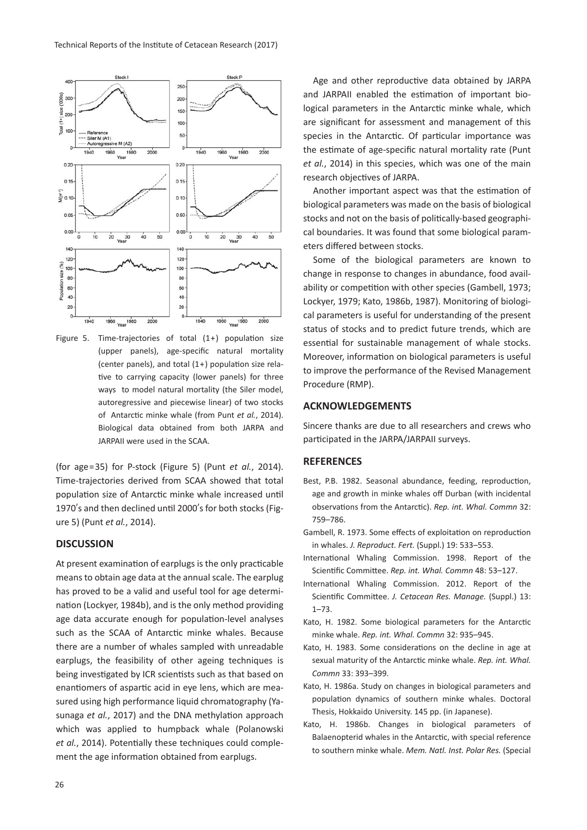

Figure 5. Time-trajectories of total (1+) population size (upper panels), age-specific natural mortality (center panels), and total (1+) population size relative to carrying capacity (lower panels) for three ways to model natural mortality (the Siler model, autoregressive and piecewise linear) of two stocks of Antarctic minke whale (from Punt *et al.*, 2014). Biological data obtained from both JARPA and JARPAII were used in the SCAA.

(for age=35) for P-stock (Figure 5) (Punt *et al.*, 2014). Time-trajectories derived from SCAA showed that total population size of Antarctic minke whale increased until 1970's and then declined until 2000's for both stocks (Figure 5) (Punt *et al.*, 2014).

#### **DISCUSSION**

At present examination of earplugs is the only practicable means to obtain age data at the annual scale. The earplug has proved to be a valid and useful tool for age determination (Lockyer, 1984b), and is the only method providing age data accurate enough for population-level analyses such as the SCAA of Antarctic minke whales. Because there are a number of whales sampled with unreadable earplugs, the feasibility of other ageing techniques is being investigated by ICR scientists such as that based on enantiomers of aspartic acid in eye lens, which are measured using high performance liquid chromatography (Yasunaga *et al.*, 2017) and the DNA methylation approach which was applied to humpback whale (Polanowski *et al.*, 2014). Potentially these techniques could complement the age information obtained from earplugs.

Age and other reproductive data obtained by JARPA and JARPAII enabled the estimation of important biological parameters in the Antarctic minke whale, which are significant for assessment and management of this species in the Antarctic. Of particular importance was the estimate of age-specific natural mortality rate (Punt *et al.*, 2014) in this species, which was one of the main research objectives of JARPA.

Another important aspect was that the estimation of biological parameters was made on the basis of biological stocks and not on the basis of politically-based geographical boundaries. It was found that some biological parameters differed between stocks.

Some of the biological parameters are known to change in response to changes in abundance, food availability or competition with other species (Gambell, 1973; Lockyer, 1979; Kato, 1986b, 1987). Monitoring of biological parameters is useful for understanding of the present status of stocks and to predict future trends, which are essential for sustainable management of whale stocks. Moreover, information on biological parameters is useful to improve the performance of the Revised Management Procedure (RMP).

# **ACKNOWLEDGEMENTS**

Sincere thanks are due to all researchers and crews who participated in the JARPA/JARPAII surveys.

#### **REFERENCES**

- Best, P.B. 1982. Seasonal abundance, feeding, reproduction, age and growth in minke whales off Durban (with incidental observations from the Antarctic). *Rep. int. Whal. Commn* 32: 759–786.
- Gambell, R. 1973. Some effects of exploitation on reproduction in whales. *J. Reproduct. Fert.* (Suppl.) 19: 533–553.
- International Whaling Commission. 1998. Report of the Scientific Committee. *Rep. int. Whal. Commn* 48: 53–127.
- International Whaling Commission. 2012. Report of the Scientific Committee. *J. Cetacean Res. Manage.* (Suppl.) 13: 1–73.
- Kato, H. 1982. Some biological parameters for the Antarctic minke whale. *Rep. int. Whal. Commn* 32: 935–945.
- Kato, H. 1983. Some considerations on the decline in age at sexual maturity of the Antarctic minke whale. *Rep. int. Whal. Commn* 33: 393–399.
- Kato, H. 1986a. Study on changes in biological parameters and population dynamics of southern minke whales. Doctoral Thesis, Hokkaido University. 145 pp. (in Japanese).
- Kato, H. 1986b. Changes in biological parameters of Balaenopterid whales in the Antarctic, with special reference to southern minke whale. *Mem. Natl. Inst. Polar Res.* (Special